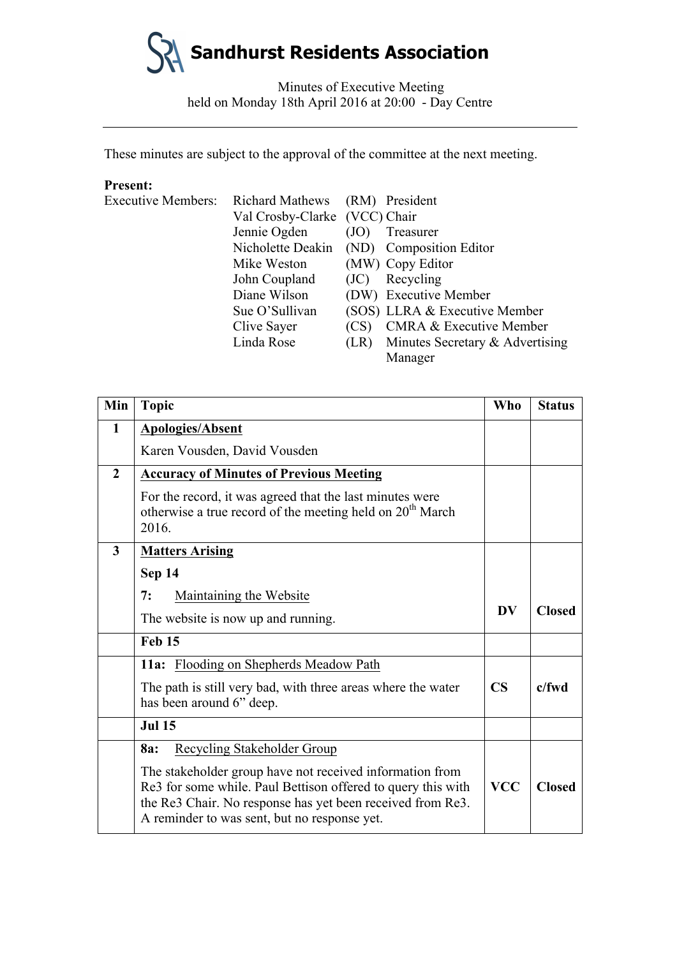Minutes of Executive Meeting held on Monday 18th April 2016 at 20:00 - Day Centre

These minutes are subject to the approval of the committee at the next meeting.

#### **Present:**

| <b>Executive Members:</b> | <b>Richard Mathews</b>        |      | (RM) President                            |
|---------------------------|-------------------------------|------|-------------------------------------------|
|                           | Val Crosby-Clarke (VCC) Chair |      |                                           |
|                           | Jennie Ogden                  | (JO) | Treasurer                                 |
|                           |                               |      | Nicholette Deakin (ND) Composition Editor |
|                           | Mike Weston                   |      | (MW) Copy Editor                          |
|                           | John Coupland                 | (JC) | Recycling                                 |
|                           | Diane Wilson                  |      | (DW) Executive Member                     |
|                           | Sue O'Sullivan                |      | (SOS) LLRA & Executive Member             |
|                           | Clive Sayer                   | (CS) | <b>CMRA &amp; Executive Member</b>        |
|                           | Linda Rose                    | (LR) | Minutes Secretary & Advertising           |
|                           |                               |      | Manager                                   |

| Min            | <b>Topic</b>                                                                                                                                                                                                                           | <b>Who</b>             | <b>Status</b> |
|----------------|----------------------------------------------------------------------------------------------------------------------------------------------------------------------------------------------------------------------------------------|------------------------|---------------|
| 1              | <b>Apologies/Absent</b>                                                                                                                                                                                                                |                        |               |
|                | Karen Vousden, David Vousden                                                                                                                                                                                                           |                        |               |
| $\overline{2}$ | <b>Accuracy of Minutes of Previous Meeting</b>                                                                                                                                                                                         |                        |               |
|                | For the record, it was agreed that the last minutes were<br>otherwise a true record of the meeting held on 20 <sup>th</sup> March<br>2016.                                                                                             |                        |               |
| $\overline{3}$ | <b>Matters Arising</b>                                                                                                                                                                                                                 |                        |               |
|                | Sep 14                                                                                                                                                                                                                                 |                        |               |
|                | 7:<br>Maintaining the Website                                                                                                                                                                                                          | <b>DV</b>              | <b>Closed</b> |
|                | The website is now up and running.                                                                                                                                                                                                     |                        |               |
|                | <b>Feb 15</b>                                                                                                                                                                                                                          |                        |               |
|                | 11a: Flooding on Shepherds Meadow Path                                                                                                                                                                                                 |                        |               |
|                | The path is still very bad, with three areas where the water<br>has been around 6" deep.                                                                                                                                               | $\overline{\text{CS}}$ | $c$ /fwd      |
|                | <b>Jul 15</b>                                                                                                                                                                                                                          |                        |               |
|                | Recycling Stakeholder Group<br>8a:                                                                                                                                                                                                     |                        |               |
|                | The stakeholder group have not received information from<br>Re3 for some while. Paul Bettison offered to query this with<br>the Re3 Chair. No response has yet been received from Re3.<br>A reminder to was sent, but no response yet. | <b>VCC</b>             | <b>Closed</b> |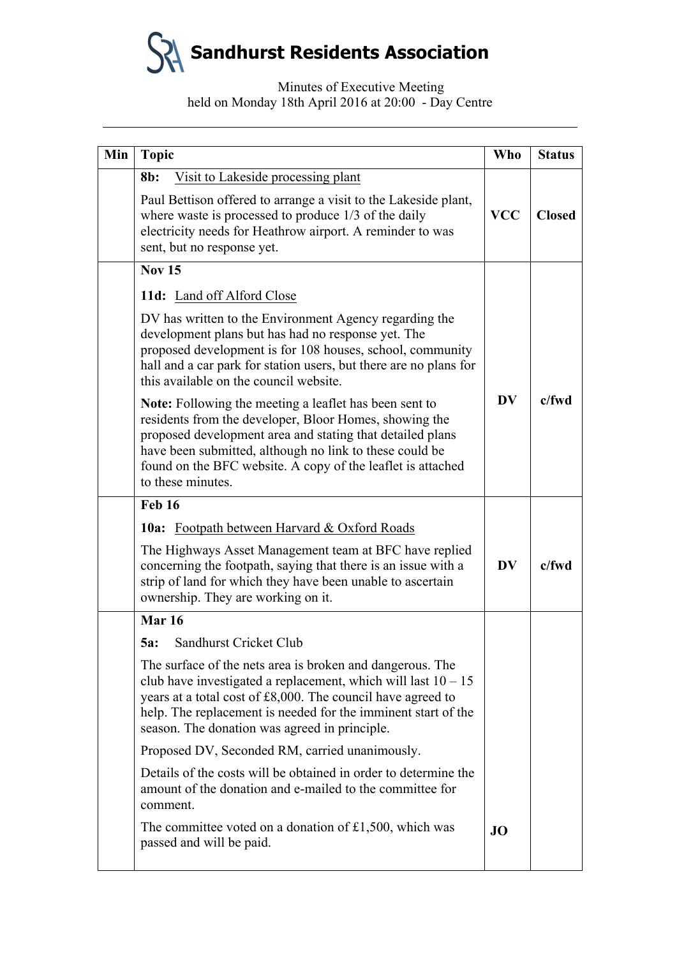# Minutes of Executive Meeting held on Monday 18th April 2016 at 20:00 - Day Centre

| Min | <b>Topic</b>                                                                                                                                                                                                                                                                                                                        | <b>Who</b>             | <b>Status</b> |
|-----|-------------------------------------------------------------------------------------------------------------------------------------------------------------------------------------------------------------------------------------------------------------------------------------------------------------------------------------|------------------------|---------------|
|     | $8b$ :<br>Visit to Lakeside processing plant                                                                                                                                                                                                                                                                                        |                        |               |
|     | Paul Bettison offered to arrange a visit to the Lakeside plant,<br>where waste is processed to produce $1/3$ of the daily<br>electricity needs for Heathrow airport. A reminder to was<br>sent, but no response yet.                                                                                                                | <b>VCC</b>             | <b>Closed</b> |
|     | <b>Nov 15</b>                                                                                                                                                                                                                                                                                                                       |                        |               |
|     | 11d: Land off Alford Close                                                                                                                                                                                                                                                                                                          |                        |               |
|     | DV has written to the Environment Agency regarding the<br>development plans but has had no response yet. The<br>proposed development is for 108 houses, school, community<br>hall and a car park for station users, but there are no plans for<br>this available on the council website.                                            |                        |               |
|     | <b>Note:</b> Following the meeting a leaflet has been sent to<br>residents from the developer, Bloor Homes, showing the<br>proposed development area and stating that detailed plans<br>have been submitted, although no link to these could be<br>found on the BFC website. A copy of the leaflet is attached<br>to these minutes. | <b>DV</b>              | c/fwd         |
|     | <b>Feb 16</b>                                                                                                                                                                                                                                                                                                                       |                        |               |
|     | <b>10a:</b> Footpath between Harvard & Oxford Roads                                                                                                                                                                                                                                                                                 |                        |               |
|     | The Highways Asset Management team at BFC have replied<br>concerning the footpath, saying that there is an issue with a<br>strip of land for which they have been unable to ascertain<br>ownership. They are working on it.                                                                                                         | $\mathbf{D}\mathbf{V}$ | c/fwd         |
|     | <b>Mar 16</b>                                                                                                                                                                                                                                                                                                                       |                        |               |
|     | Sandhurst Cricket Club<br>5a:                                                                                                                                                                                                                                                                                                       |                        |               |
|     | The surface of the nets area is broken and dangerous. The<br>club have investigated a replacement, which will last $10 - 15$<br>years at a total cost of £8,000. The council have agreed to<br>help. The replacement is needed for the imminent start of the<br>season. The donation was agreed in principle.                       |                        |               |
|     | Proposed DV, Seconded RM, carried unanimously.                                                                                                                                                                                                                                                                                      |                        |               |
|     | Details of the costs will be obtained in order to determine the<br>amount of the donation and e-mailed to the committee for<br>comment.                                                                                                                                                                                             |                        |               |
|     | The committee voted on a donation of £1,500, which was<br>passed and will be paid.                                                                                                                                                                                                                                                  | <b>JO</b>              |               |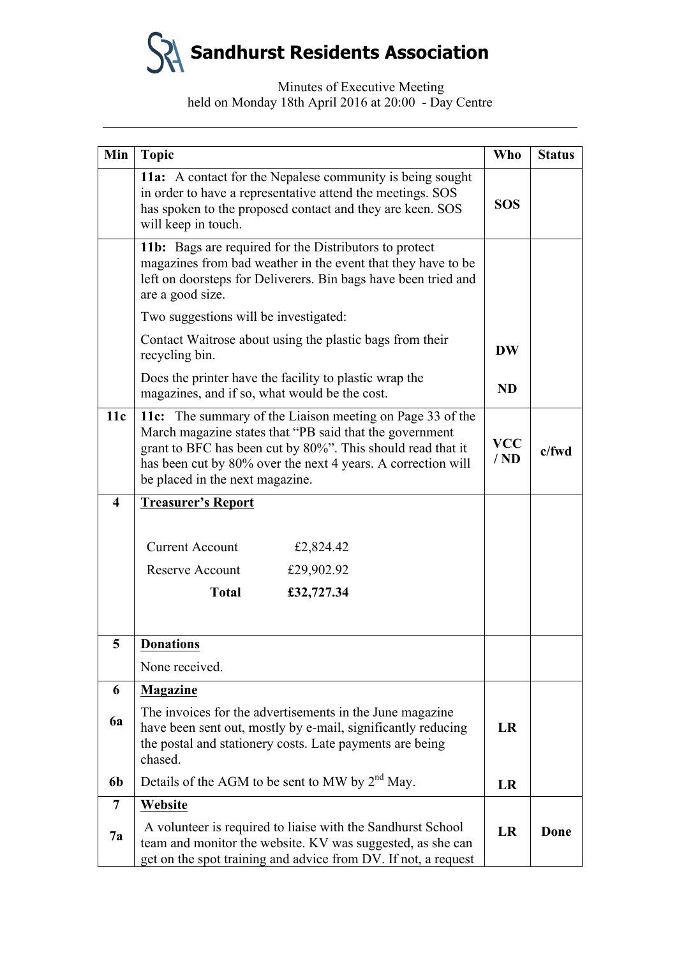# Minutes of Executive Meeting held on Monday 18th April 2016 at 20:00 - Day Centre

| Min                     | <b>Topic</b>                                                                                                                                                                                                                                                                           |                   | <b>Status</b> |
|-------------------------|----------------------------------------------------------------------------------------------------------------------------------------------------------------------------------------------------------------------------------------------------------------------------------------|-------------------|---------------|
|                         | 11a: A contact for the Nepalese community is being sought<br>in order to have a representative attend the meetings. SOS<br>has spoken to the proposed contact and they are keen. SOS<br>will keep in touch.                                                                            |                   |               |
|                         | 11b: Bags are required for the Distributors to protect<br>magazines from bad weather in the event that they have to be<br>left on doorsteps for Deliverers. Bin bags have been tried and<br>are a good size.                                                                           |                   |               |
|                         | Two suggestions will be investigated:                                                                                                                                                                                                                                                  |                   |               |
|                         | Contact Waitrose about using the plastic bags from their<br>recycling bin.                                                                                                                                                                                                             |                   |               |
|                         | Does the printer have the facility to plastic wrap the<br>magazines, and if so, what would be the cost.                                                                                                                                                                                | <b>ND</b>         |               |
| 11c                     | 11c: The summary of the Liaison meeting on Page 33 of the<br>March magazine states that "PB said that the government<br>grant to BFC has been cut by 80%". This should read that it<br>has been cut by 80% over the next 4 years. A correction will<br>be placed in the next magazine. | <b>VCC</b><br>/ND | $c$ /fwd      |
| $\overline{\mathbf{4}}$ | <b>Treasurer's Report</b>                                                                                                                                                                                                                                                              |                   |               |
|                         | <b>Current Account</b><br>£2,824.42<br>Reserve Account<br>£29,902.92<br>£32,727.34<br><b>Total</b>                                                                                                                                                                                     |                   |               |
| 5                       | <b>Donations</b>                                                                                                                                                                                                                                                                       |                   |               |
|                         | None received.                                                                                                                                                                                                                                                                         |                   |               |
| 6                       | <b>Magazine</b>                                                                                                                                                                                                                                                                        |                   |               |
| 6a                      | The invoices for the advertisements in the June magazine<br>have been sent out, mostly by e-mail, significantly reducing<br>the postal and stationery costs. Late payments are being<br>chased.                                                                                        |                   |               |
| 6b                      | Details of the AGM to be sent to MW by 2 <sup>nd</sup> May.                                                                                                                                                                                                                            | LR                |               |
| 7                       | Website                                                                                                                                                                                                                                                                                |                   |               |
| <b>7a</b>               | A volunteer is required to liaise with the Sandhurst School<br>team and monitor the website. KV was suggested, as she can<br>get on the spot training and advice from DV. If not, a request                                                                                            | <b>LR</b>         | Done          |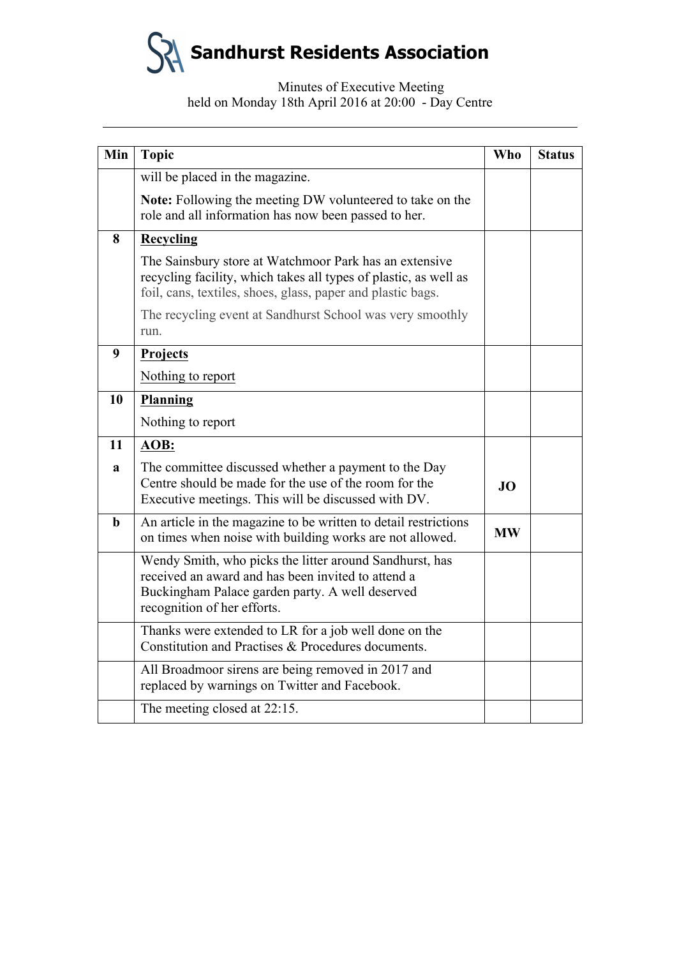# Minutes of Executive Meeting held on Monday 18th April 2016 at 20:00 - Day Centre

| Min         | <b>Topic</b>                                                                                                                                                                                    | <b>Who</b> | <b>Status</b> |
|-------------|-------------------------------------------------------------------------------------------------------------------------------------------------------------------------------------------------|------------|---------------|
|             | will be placed in the magazine.                                                                                                                                                                 |            |               |
|             | Note: Following the meeting DW volunteered to take on the<br>role and all information has now been passed to her.                                                                               |            |               |
| 8           | <b>Recycling</b>                                                                                                                                                                                |            |               |
|             | The Sainsbury store at Watchmoor Park has an extensive<br>recycling facility, which takes all types of plastic, as well as<br>foil, cans, textiles, shoes, glass, paper and plastic bags.       |            |               |
|             | The recycling event at Sandhurst School was very smoothly<br>run.                                                                                                                               |            |               |
| 9           | Projects                                                                                                                                                                                        |            |               |
|             | Nothing to report                                                                                                                                                                               |            |               |
| 10          | Planning                                                                                                                                                                                        |            |               |
|             | Nothing to report                                                                                                                                                                               |            |               |
| 11          | AOB:                                                                                                                                                                                            |            |               |
| a           | The committee discussed whether a payment to the Day<br>Centre should be made for the use of the room for the<br>Executive meetings. This will be discussed with DV.                            | JO         |               |
| $\mathbf b$ | An article in the magazine to be written to detail restrictions<br>on times when noise with building works are not allowed.                                                                     | <b>MW</b>  |               |
|             | Wendy Smith, who picks the litter around Sandhurst, has<br>received an award and has been invited to attend a<br>Buckingham Palace garden party. A well deserved<br>recognition of her efforts. |            |               |
|             | Thanks were extended to LR for a job well done on the<br>Constitution and Practises & Procedures documents.                                                                                     |            |               |
|             | All Broadmoor sirens are being removed in 2017 and<br>replaced by warnings on Twitter and Facebook.                                                                                             |            |               |
|             | The meeting closed at 22:15.                                                                                                                                                                    |            |               |